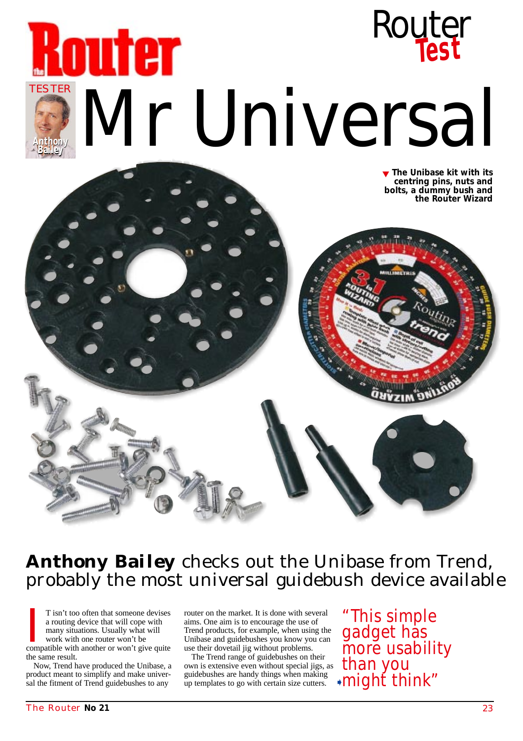



**Anthony Bailey** checks out the Unibase from Trend, probably the most universal guidebush device available

T isn't too often that someone devises<br>a routing device that will cope with<br>many situations. Usually what will<br>work with one router won't be<br>compatible with another or won't give quite T isn't too often that someone devises a routing device that will cope with many situations. Usually what will work with one router won't be the same result.

Now, Trend have produced the Unibase, a product meant to simplify and make universal the fitment of Trend guidebushes to any

router on the market. It is done with several aims. One aim is to encourage the use of Trend products, for example, when using the Unibase and guidebushes you know you can use their dovetail jig without problems.

The Trend range of guidebushes on their own is extensive even without special jigs, as guidebushes are handy things when making up templates to go with certain size cutters.

"This simple gadget has more usability than you might think" ➧